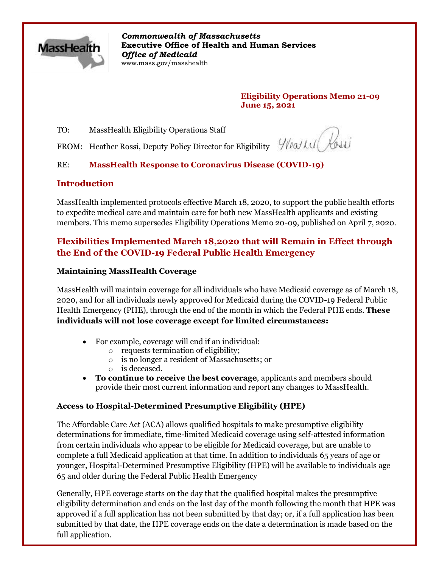

*Commonwealth of Massachusetts* **Executive Office of Health and Human Services** *Office of Medicaid* www.mass.gov/masshealth

> **Eligibility Operations Memo 21-09 June 15, 2021**

TO: MassHealth Eligibility Operations Staff

FROM: Heather Rossi, Deputy Policy Director for Eligibility

Wearly Hosei

## RE: **MassHealth Response to Coronavirus Disease (COVID-19)**

### **Introduction**

MassHealth implemented protocols effective March 18, 2020, to support the public health efforts to expedite medical care and maintain care for both new MassHealth applicants and existing members. This memo supersedes Eligibility Operations Memo 20-09, published on April 7, 2020.

# **Flexibilities Implemented March 18,2020 that will Remain in Effect through the End of the COVID-19 Federal Public Health Emergency**

#### **Maintaining MassHealth Coverage**

MassHealth will maintain coverage for all individuals who have Medicaid coverage as of March 18, 2020, and for all individuals newly approved for Medicaid during the COVID-19 Federal Public Health Emergency (PHE), through the end of the month in which the Federal PHE ends. **These individuals will not lose coverage except for limited circumstances:**

- For example, coverage will end if an individual:
	- o requests termination of eligibility;
	- o is no longer a resident of Massachusetts; or
	- o is deceased.
- **To continue to receive the best coverage**, applicants and members should provide their most current information and report any changes to MassHealth.

#### **Access to Hospital-Determined Presumptive Eligibility (HPE)**

The Affordable Care Act (ACA) allows qualified hospitals to make presumptive eligibility determinations for immediate, time-limited Medicaid coverage using self-attested information from certain individuals who appear to be eligible for Medicaid coverage, but are unable to complete a full Medicaid application at that time. In addition to individuals 65 years of age or younger, Hospital-Determined Presumptive Eligibility (HPE) will be available to individuals age 65 and older during the Federal Public Health Emergency

Generally, HPE coverage starts on the day that the qualified hospital makes the presumptive eligibility determination and ends on the last day of the month following the month that HPE was approved if a full application has not been submitted by that day; or, if a full application has been submitted by that date, the HPE coverage ends on the date a determination is made based on the full application.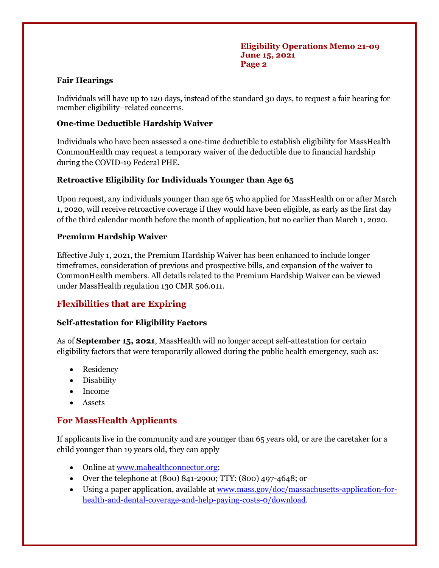### **Fair Hearings**

Individuals will have up to 120 days, instead of the standard 30 days, to request a fair hearing for member eligibility–related concerns.

### **One-time Deductible Hardship Waiver**

Individuals who have been assessed a one-time deductible to establish eligibility for MassHealth CommonHealth may request a temporary waiver of the deductible due to financial hardship during the COVID-19 Federal PHE.

### **Retroactive Eligibility for Individuals Younger than Age 65**

Upon request, any individuals younger than age 65 who applied for MassHealth on or after March 1, 2020, will receive retroactive coverage if they would have been eligible, as early as the first day of the third calendar month before the month of application, but no earlier than March 1, 2020.

### **Premium Hardship Waiver**

Effective July 1, 2021, the Premium Hardship Waiver has been enhanced to include longer timeframes, consideration of previous and prospective bills, and expansion of the waiver to CommonHealth members. All details related to the Premium Hardship Waiver can be viewed under MassHealth regulation 130 CMR 506.011.

## **Flexibilities that are Expiring**

#### **Self-attestation for Eligibility Factors**

As of **September 15, 2021**, MassHealth will no longer accept self-attestation for certain eligibility factors that were temporarily allowed during the public health emergency, such as:

- Residency
- Disability
- Income
- **Assets**

## **For MassHealth Applicants**

If applicants live in the community and are younger than 65 years old, or are the caretaker for a child younger than 19 years old, they can apply

- Online a[t www.mahealthconnector.org;](http://www.mahealthconnector.com/)
- Over the telephone at (800) 841-2900; TTY: (800) 497-4648; or
- Using a paper application, available at [www.mass.gov/doc/massachusetts-application-for](http://www.mass.gov/doc/massachusetts-application-for-health-and-dental-coverage-and-help-paying-costs-0/download)[health-and-dental-coverage-and-help-paying-costs-0/download.](http://www.mass.gov/doc/massachusetts-application-for-health-and-dental-coverage-and-help-paying-costs-0/download)